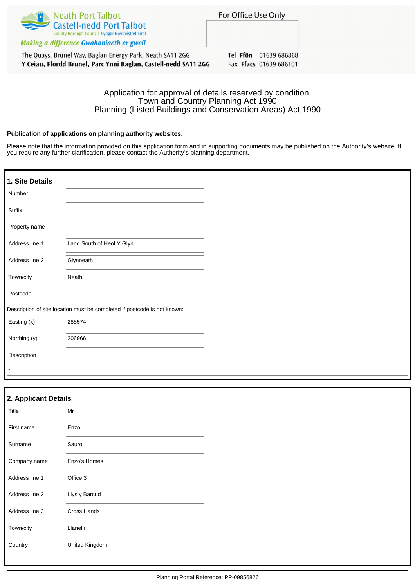

Making a difference Gwahaniaeth er gwell

The Quays, Brunel Way, Baglan Energy Park, Neath SA11 2GG Y Ceiau, Ffordd Brunel, Parc Ynni Baglan, Castell-nedd SA11 2GG Tel Ffon 01639 686868 Fax Ffacs 01639 686101

# Application for approval of details reserved by condition. Town and Country Planning Act 1990 Planning (Listed Buildings and Conservation Areas) Act 1990

## **Publication of applications on planning authority websites.**

Please note that the information provided on this application form and in supporting documents may be published on the Authority's website. If you require any further clarification, please contact the Authority's planning department.

| 1. Site Details |                                                                          |
|-----------------|--------------------------------------------------------------------------|
| Number          |                                                                          |
| Suffix          |                                                                          |
| Property name   |                                                                          |
| Address line 1  | Land South of Heol Y Glyn                                                |
| Address line 2  | Glynneath                                                                |
| Town/city       | Neath                                                                    |
| Postcode        |                                                                          |
|                 | Description of site location must be completed if postcode is not known: |
| Easting (x)     | 288574                                                                   |
| Northing (y)    | 206966                                                                   |
| Description     |                                                                          |
|                 |                                                                          |

| 2. Applicant Details |                |
|----------------------|----------------|
| Title                | Mr             |
| First name           | Enzo           |
| Surname              | Sauro          |
| Company name         | Enzo's Homes   |
| Address line 1       | Office 3       |
| Address line 2       | Llys y Barcud  |
| Address line 3       | Cross Hands    |
| Town/city            | Llanelli       |
| Country              | United Kingdom |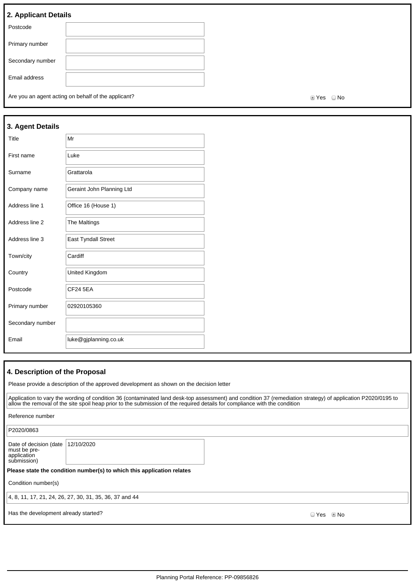# **2. Applicant Details**

| Postcode         |  |
|------------------|--|
| Primary number   |  |
| Secondary number |  |
| Email address    |  |

Are you an agent acting on behalf of the applicant? Are you are set of the set of the applicant?

| 3. Agent Details |                            |
|------------------|----------------------------|
| Title            | Mr                         |
| First name       | Luke                       |
| Surname          | Grattarola                 |
| Company name     | Geraint John Planning Ltd  |
| Address line 1   | Office 16 (House 1)        |
| Address line 2   | The Maltings               |
| Address line 3   | <b>East Tyndall Street</b> |
| Town/city        | Cardiff                    |
| Country          | United Kingdom             |
| Postcode         | <b>CF24 5EA</b>            |
| Primary number   | 02920105360                |
| Secondary number |                            |
| Email            | luke@gjplanning.co.uk      |

# **4. Description of the Proposal**

Please provide a description of the approved development as shown on the decision letter

|                                                                      | Application to vary the wording of condition 36 (contaminated land desk-top assessment) and condition 37 (remediation strategy) of application P2020/0195 to<br>allow the removal of the site spoil heap prior to the submission of the required details for compliance with the condition |       |      |
|----------------------------------------------------------------------|--------------------------------------------------------------------------------------------------------------------------------------------------------------------------------------------------------------------------------------------------------------------------------------------|-------|------|
| Reference number                                                     |                                                                                                                                                                                                                                                                                            |       |      |
| P2020/0863                                                           |                                                                                                                                                                                                                                                                                            |       |      |
| Date of decision (date<br>must be pre-<br>application<br>submission) | 12/10/2020                                                                                                                                                                                                                                                                                 |       |      |
|                                                                      | Please state the condition number(s) to which this application relates                                                                                                                                                                                                                     |       |      |
| Condition number(s)                                                  |                                                                                                                                                                                                                                                                                            |       |      |
|                                                                      | 4, 8, 11, 17, 21, 24, 26, 27, 30, 31, 35, 36, 37 and 44                                                                                                                                                                                                                                    |       |      |
| Has the development already started?                                 |                                                                                                                                                                                                                                                                                            | ☉ Yes | © No |